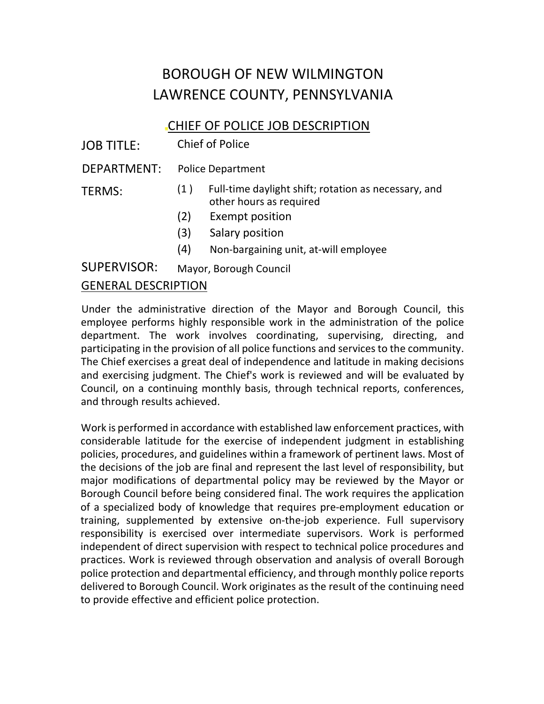# BOROUGH OF NEW WILMINGTON LAWRENCE COUNTY, PENNSYLVANIA

## CHIEF OF POLICE JOB DESCRIPTION

JOB TITLE: Chief of Police

DEPARTMENT: Police Department

- TERMS: (1 ) Full-time daylight shift; rotation as necessary, and other hours as required
	- (2) Exempt position
	- (3) Salary position
	- (4) Non-bargaining unit, at-will employee

SUPERVISOR: Mayor, Borough Council

## GENERAL DESCRIPTION

Under the administrative direction of the Mayor and Borough Council, this employee performs highly responsible work in the administration of the police department. The work involves coordinating, supervising, directing, and participating in the provision of all police functions and services to the community. The Chief exercises a great deal of independence and latitude in making decisions and exercising judgment. The Chief's work is reviewed and will be evaluated by Council, on a continuing monthly basis, through technical reports, conferences, and through results achieved.

Work is performed in accordance with established law enforcement practices, with considerable latitude for the exercise of independent judgment in establishing policies, procedures, and guidelines within a framework of pertinent laws. Most of the decisions of the job are final and represent the last level of responsibility, but major modifications of departmental policy may be reviewed by the Mayor or Borough Council before being considered final. The work requires the application of a specialized body of knowledge that requires pre-employment education or training, supplemented by extensive on-the-job experience. Full supervisory responsibility is exercised over intermediate supervisors. Work is performed independent of direct supervision with respect to technical police procedures and practices. Work is reviewed through observation and analysis of overall Borough police protection and departmental efficiency, and through monthly police reports delivered to Borough Council. Work originates as the result of the continuing need to provide effective and efficient police protection.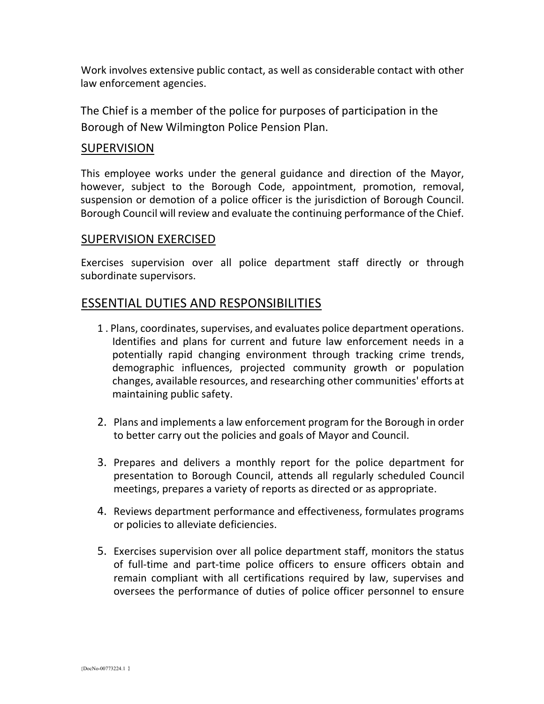Work involves extensive public contact, as well as considerable contact with other law enforcement agencies.

The Chief is a member of the police for purposes of participation in the Borough of New Wilmington Police Pension Plan.

### SUPERVISION

This employee works under the general guidance and direction of the Mayor, however, subject to the Borough Code, appointment, promotion, removal, suspension or demotion of a police officer is the jurisdiction of Borough Council. Borough Council will review and evaluate the continuing performance of the Chief.

#### SUPERVISION EXERCISED

Exercises supervision over all police department staff directly or through subordinate supervisors.

## ESSENTIAL DUTIES AND RESPONSIBILITIES

- 1 . Plans, coordinates, supervises, and evaluates police department operations. Identifies and plans for current and future law enforcement needs in a potentially rapid changing environment through tracking crime trends, demographic influences, projected community growth or population changes, available resources, and researching other communities' efforts at maintaining public safety.
- 2. Plans and implements a law enforcement program for the Borough in order to better carry out the policies and goals of Mayor and Council.
- 3. Prepares and delivers a monthly report for the police department for presentation to Borough Council, attends all regularly scheduled Council meetings, prepares a variety of reports as directed or as appropriate.
- 4. Reviews department performance and effectiveness, formulates programs or policies to alleviate deficiencies.
- 5. Exercises supervision over all police department staff, monitors the status of full-time and part-time police officers to ensure officers obtain and remain compliant with all certifications required by law, supervises and oversees the performance of duties of police officer personnel to ensure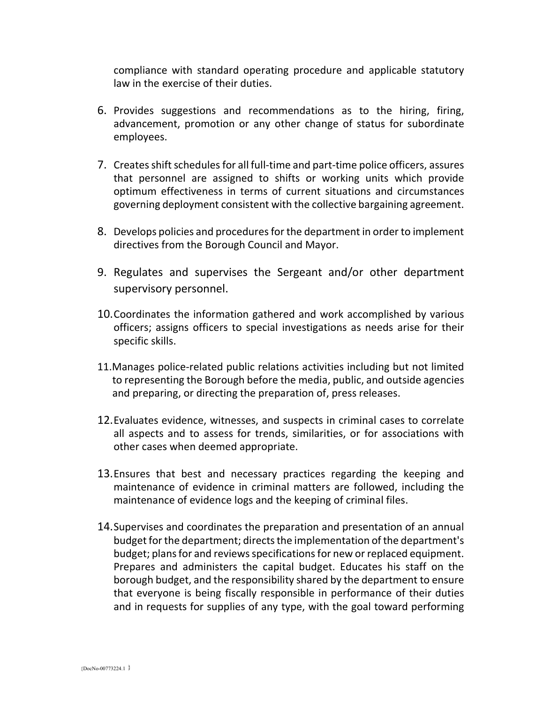compliance with standard operating procedure and applicable statutory law in the exercise of their duties.

- 6. Provides suggestions and recommendations as to the hiring, firing, advancement, promotion or any other change of status for subordinate employees.
- 7. Creates shift schedules for all full-time and part-time police officers, assures that personnel are assigned to shifts or working units which provide optimum effectiveness in terms of current situations and circumstances governing deployment consistent with the collective bargaining agreement.
- 8. Develops policies and procedures for the department in order to implement directives from the Borough Council and Mayor.
- 9. Regulates and supervises the Sergeant and/or other department supervisory personnel.
- 10.Coordinates the information gathered and work accomplished by various officers; assigns officers to special investigations as needs arise for their specific skills.
- 11.Manages police-related public relations activities including but not limited to representing the Borough before the media, public, and outside agencies and preparing, or directing the preparation of, press releases.
- 12.Evaluates evidence, witnesses, and suspects in criminal cases to correlate all aspects and to assess for trends, similarities, or for associations with other cases when deemed appropriate.
- 13.Ensures that best and necessary practices regarding the keeping and maintenance of evidence in criminal matters are followed, including the maintenance of evidence logs and the keeping of criminal files.
- 14.Supervises and coordinates the preparation and presentation of an annual budget for the department; directs the implementation of the department's budget; plans for and reviews specifications for new or replaced equipment. Prepares and administers the capital budget. Educates his staff on the borough budget, and the responsibility shared by the department to ensure that everyone is being fiscally responsible in performance of their duties and in requests for supplies of any type, with the goal toward performing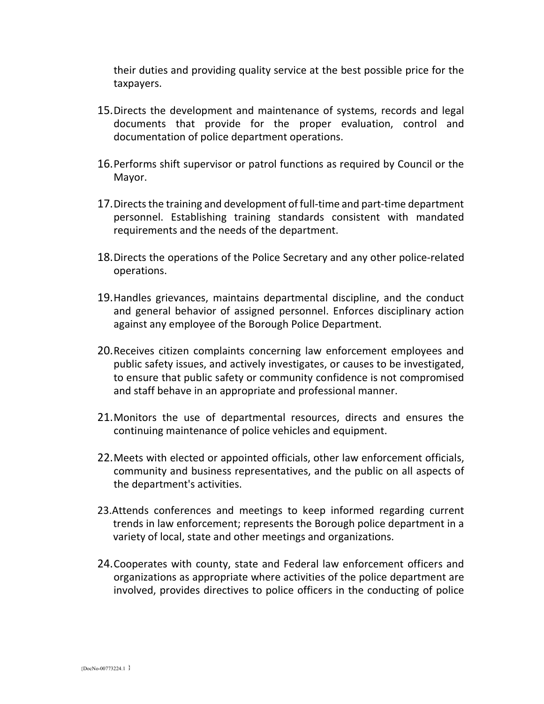their duties and providing quality service at the best possible price for the taxpayers.

- 15.Directs the development and maintenance of systems, records and legal documents that provide for the proper evaluation, control and documentation of police department operations.
- 16.Performs shift supervisor or patrol functions as required by Council or the Mayor.
- 17.Directs the training and development of full-time and part-time department personnel. Establishing training standards consistent with mandated requirements and the needs of the department.
- 18.Directs the operations of the Police Secretary and any other police-related operations.
- 19.Handles grievances, maintains departmental discipline, and the conduct and general behavior of assigned personnel. Enforces disciplinary action against any employee of the Borough Police Department.
- 20.Receives citizen complaints concerning law enforcement employees and public safety issues, and actively investigates, or causes to be investigated, to ensure that public safety or community confidence is not compromised and staff behave in an appropriate and professional manner.
- 21.Monitors the use of departmental resources, directs and ensures the continuing maintenance of police vehicles and equipment.
- 22.Meets with elected or appointed officials, other law enforcement officials, community and business representatives, and the public on all aspects of the department's activities.
- 23.Attends conferences and meetings to keep informed regarding current trends in law enforcement; represents the Borough police department in a variety of local, state and other meetings and organizations.
- 24.Cooperates with county, state and Federal law enforcement officers and organizations as appropriate where activities of the police department are involved, provides directives to police officers in the conducting of police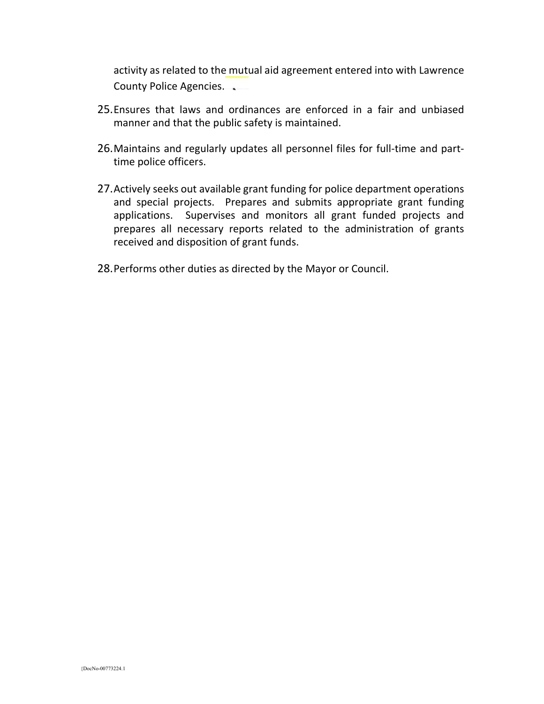activity as related to the mutual aid agreement entered into with Lawrence County Police Agencies.

- 25.Ensures that laws and ordinances are enforced in a fair and unbiased manner and that the public safety is maintained.
- 26.Maintains and regularly updates all personnel files for full-time and parttime police officers.
- 27.Actively seeks out available grant funding for police department operations and special projects. Prepares and submits appropriate grant funding applications. Supervises and monitors all grant funded projects and prepares all necessary reports related to the administration of grants received and disposition of grant funds.
- 28.Performs other duties as directed by the Mayor or Council.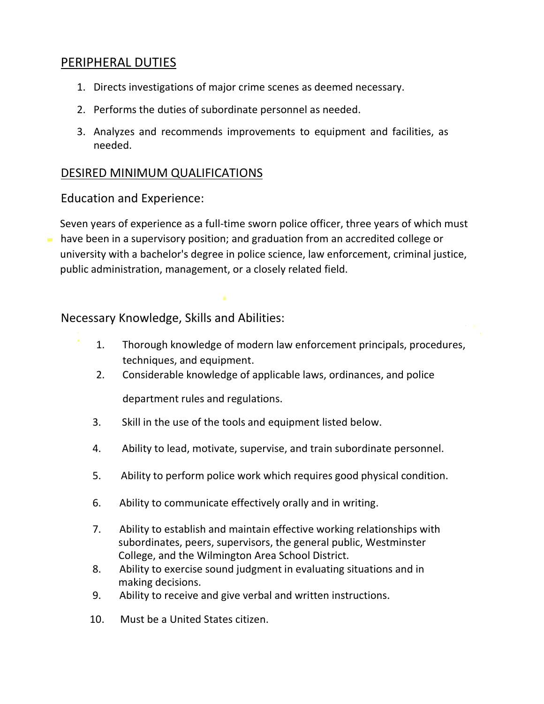## PERIPHERAL DUTIES

- 1. Directs investigations of major crime scenes as deemed necessary.
- 2. Performs the duties of subordinate personnel as needed.
- 3. Analyzes and recommends improvements to equipment and facilities, as needed.

## DESIRED MINIMUM QUALIFICATIONS

Education and Experience:

Seven years of experience as a full-time sworn police officer, three years of which must have been in a supervisory position; and graduation from an accredited college or university with a bachelor's degree in police science, law enforcement, criminal justice, public administration, management, or a closely related field.

Necessary Knowledge, Skills and Abilities:

- 1. Thorough knowledge of modern law enforcement principals, procedures, techniques, and equipment.
	- 2. Considerable knowledge of applicable laws, ordinances, and police

department rules and regulations.

- 3. Skill in the use of the tools and equipment listed below.
- 4. Ability to lead, motivate, supervise, and train subordinate personnel.
- 5. Ability to perform police work which requires good physical condition.
- 6. Ability to communicate effectively orally and in writing.
- 7. Ability to establish and maintain effective working relationships with subordinates, peers, supervisors, the general public, Westminster College, and the Wilmington Area School District.
- 8. Ability to exercise sound judgment in evaluating situations and in making decisions.
- 9. Ability to receive and give verbal and written instructions.
- 10. Must be a United States citizen.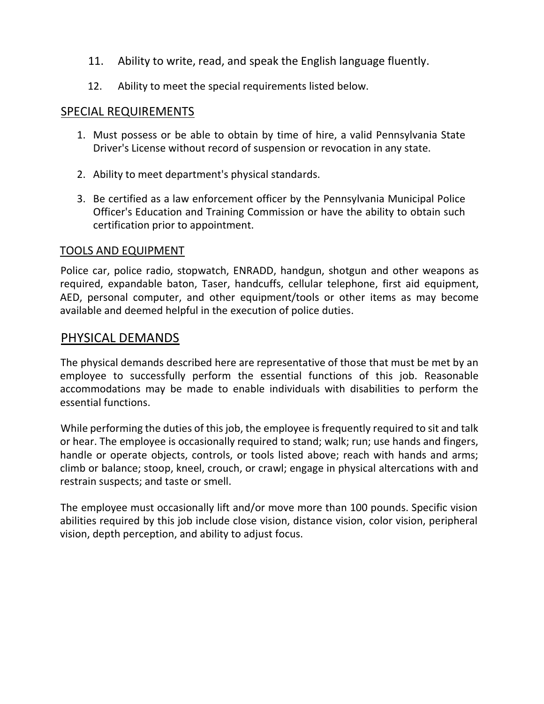- 11. Ability to write, read, and speak the English language fluently.
- 12. Ability to meet the special requirements listed below.

## SPECIAL REQUIREMENTS

- 1. Must possess or be able to obtain by time of hire, a valid Pennsylvania State Driver's License without record of suspension or revocation in any state.
- 2. Ability to meet department's physical standards.
- 3. Be certified as a law enforcement officer by the Pennsylvania Municipal Police Officer's Education and Training Commission or have the ability to obtain such certification prior to appointment.

## TOOLS AND EQUIPMENT

Police car, police radio, stopwatch, ENRADD, handgun, shotgun and other weapons as required, expandable baton, Taser, handcuffs, cellular telephone, first aid equipment, AED, personal computer, and other equipment/tools or other items as may become available and deemed helpful in the execution of police duties.

## PHYSICAL DEMANDS

The physical demands described here are representative of those that must be met by an employee to successfully perform the essential functions of this job. Reasonable accommodations may be made to enable individuals with disabilities to perform the essential functions.

While performing the duties of this job, the employee is frequently required to sit and talk or hear. The employee is occasionally required to stand; walk; run; use hands and fingers, handle or operate objects, controls, or tools listed above; reach with hands and arms; climb or balance; stoop, kneel, crouch, or crawl; engage in physical altercations with and restrain suspects; and taste or smell.

The employee must occasionally lift and/or move more than 100 pounds. Specific vision abilities required by this job include close vision, distance vision, color vision, peripheral vision, depth perception, and ability to adjust focus.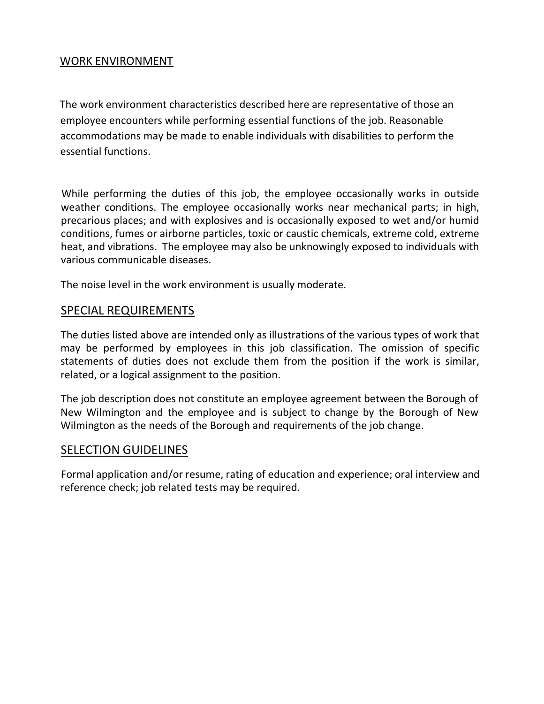## WORK ENVIRONMENT

The work environment characteristics described here are representative of those an employee encounters while performing essential functions of the job. Reasonable accommodations may be made to enable individuals with disabilities to perform the essential functions.

While performing the duties of this job, the employee occasionally works in outside weather conditions. The employee occasionally works near mechanical parts; in high, precarious places; and with explosives and is occasionally exposed to wet and/or humid conditions, fumes or airborne particles, toxic or caustic chemicals, extreme cold, extreme heat, and vibrations. The employee may also be unknowingly exposed to individuals with various communicable diseases.

The noise level in the work environment is usually moderate.

### SPECIAL REQUIREMENTS

The duties listed above are intended only as illustrations of the various types of work that may be performed by employees in this job classification. The omission of specific statements of duties does not exclude them from the position if the work is similar, related, or a logical assignment to the position.

The job description does not constitute an employee agreement between the Borough of New Wilmington and the employee and is subject to change by the Borough of New Wilmington as the needs of the Borough and requirements of the job change.

### SELECTION GUIDELINES

Formal application and/or resume, rating of education and experience; oral interview and reference check; job related tests may be required.